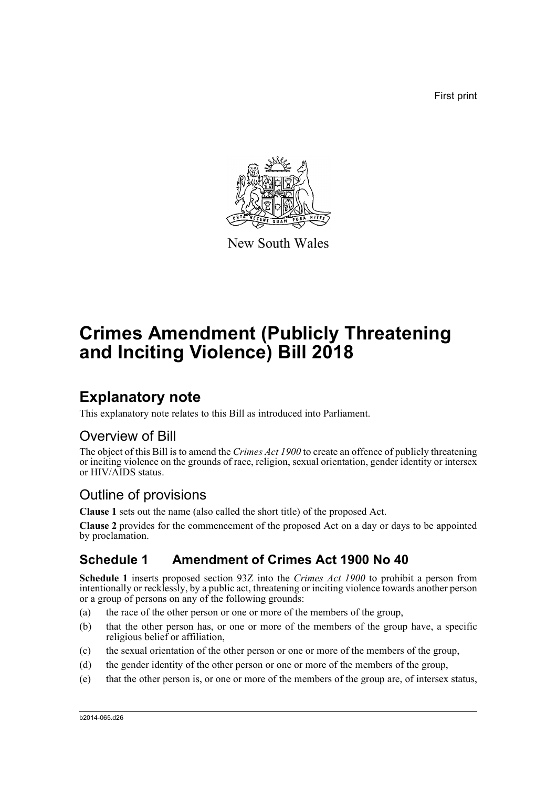First print



New South Wales

# **Crimes Amendment (Publicly Threatening and Inciting Violence) Bill 2018**

## **Explanatory note**

This explanatory note relates to this Bill as introduced into Parliament.

### Overview of Bill

The object of this Bill is to amend the *Crimes Act 1900* to create an offence of publicly threatening or inciting violence on the grounds of race, religion, sexual orientation, gender identity or intersex or HIV/AIDS status.

## Outline of provisions

**Clause 1** sets out the name (also called the short title) of the proposed Act.

**Clause 2** provides for the commencement of the proposed Act on a day or days to be appointed by proclamation.

### **Schedule 1 Amendment of Crimes Act 1900 No 40**

**Schedule 1** inserts proposed section 93Z into the *Crimes Act 1900* to prohibit a person from intentionally or recklessly, by a public act, threatening or inciting violence towards another person or a group of persons on any of the following grounds:

- (a) the race of the other person or one or more of the members of the group,
- (b) that the other person has, or one or more of the members of the group have, a specific religious belief or affiliation,
- (c) the sexual orientation of the other person or one or more of the members of the group,
- (d) the gender identity of the other person or one or more of the members of the group,
- (e) that the other person is, or one or more of the members of the group are, of intersex status,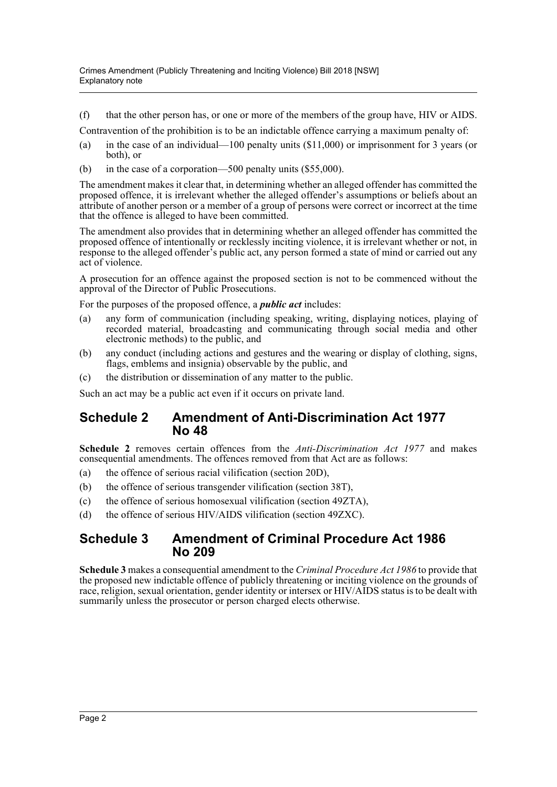(f) that the other person has, or one or more of the members of the group have, HIV or AIDS.

Contravention of the prohibition is to be an indictable offence carrying a maximum penalty of:

- (a) in the case of an individual—100 penalty units (\$11,000) or imprisonment for 3 years (or both), or
- (b) in the case of a corporation—500 penalty units (\$55,000).

The amendment makes it clear that, in determining whether an alleged offender has committed the proposed offence, it is irrelevant whether the alleged offender's assumptions or beliefs about an attribute of another person or a member of a group of persons were correct or incorrect at the time that the offence is alleged to have been committed.

The amendment also provides that in determining whether an alleged offender has committed the proposed offence of intentionally or recklessly inciting violence, it is irrelevant whether or not, in response to the alleged offender's public act, any person formed a state of mind or carried out any act of violence.

A prosecution for an offence against the proposed section is not to be commenced without the approval of the Director of Public Prosecutions.

For the purposes of the proposed offence, a *public act* includes:

- (a) any form of communication (including speaking, writing, displaying notices, playing of recorded material, broadcasting and communicating through social media and other electronic methods) to the public, and
- (b) any conduct (including actions and gestures and the wearing or display of clothing, signs, flags, emblems and insignia) observable by the public, and
- (c) the distribution or dissemination of any matter to the public.

Such an act may be a public act even if it occurs on private land.

#### **Schedule 2 Amendment of Anti-Discrimination Act 1977 No 48**

**Schedule 2** removes certain offences from the *Anti-Discrimination Act 1977* and makes consequential amendments. The offences removed from that Act are as follows:

- (a) the offence of serious racial vilification (section 20D),
- (b) the offence of serious transgender vilification (section 38T),
- (c) the offence of serious homosexual vilification (section 49ZTA),
- (d) the offence of serious HIV/AIDS vilification (section 49ZXC).

#### **Schedule 3 Amendment of Criminal Procedure Act 1986 No 209**

**Schedule 3** makes a consequential amendment to the *Criminal Procedure Act 1986* to provide that the proposed new indictable offence of publicly threatening or inciting violence on the grounds of race, religion, sexual orientation, gender identity or intersex or HIV/AIDS status is to be dealt with summarily unless the prosecutor or person charged elects otherwise.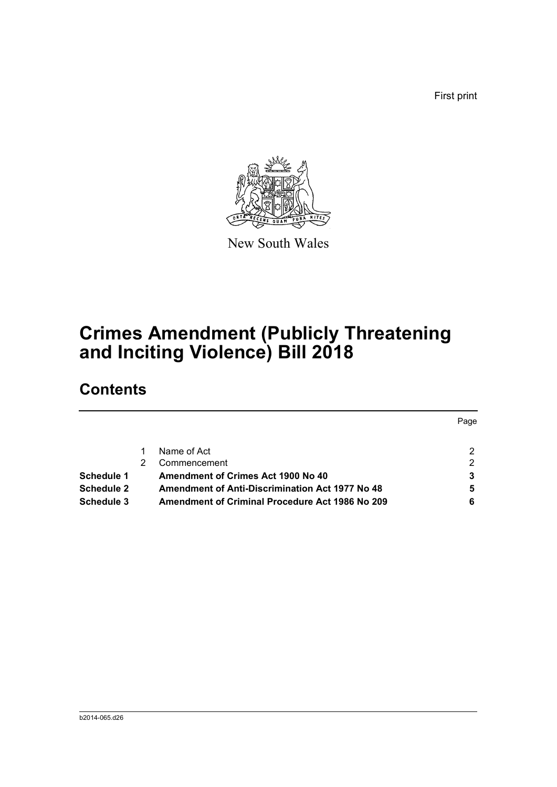First print



New South Wales

# **Crimes Amendment (Publicly Threatening and Inciting Violence) Bill 2018**

## **Contents**

|            |                                                        | Page           |
|------------|--------------------------------------------------------|----------------|
|            |                                                        |                |
|            | Name of Act                                            | $\overline{2}$ |
|            | Commencement                                           | 2              |
| Schedule 1 | <b>Amendment of Crimes Act 1900 No 40</b>              | 3              |
| Schedule 2 | <b>Amendment of Anti-Discrimination Act 1977 No 48</b> | 5              |
| Schedule 3 | <b>Amendment of Criminal Procedure Act 1986 No 209</b> | 6              |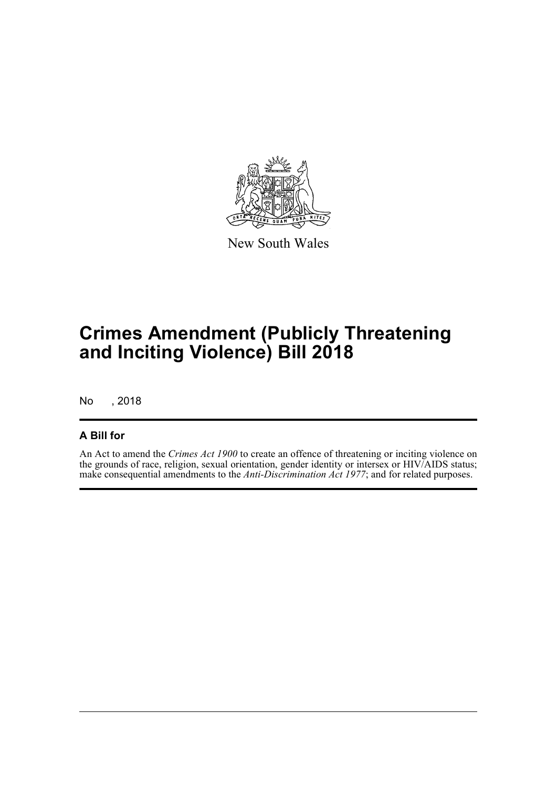

New South Wales

# **Crimes Amendment (Publicly Threatening and Inciting Violence) Bill 2018**

No , 2018

#### **A Bill for**

An Act to amend the *Crimes Act 1900* to create an offence of threatening or inciting violence on the grounds of race, religion, sexual orientation, gender identity or intersex or HIV/AIDS status; make consequential amendments to the *Anti-Discrimination Act 1977*; and for related purposes.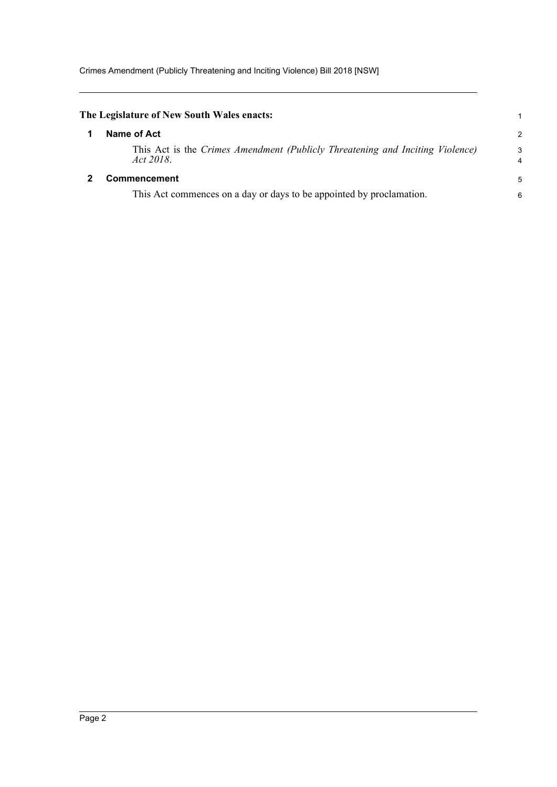<span id="page-4-1"></span><span id="page-4-0"></span>

| The Legislature of New South Wales enacts:                                                 |        |
|--------------------------------------------------------------------------------------------|--------|
| Name of Act                                                                                | 2      |
| This Act is the Crimes Amendment (Publicly Threatening and Inciting Violence)<br>Act 2018. | 3<br>4 |
| <b>Commencement</b>                                                                        | 5      |
| This Act commences on a day or days to be appointed by proclamation.                       | 6      |
|                                                                                            |        |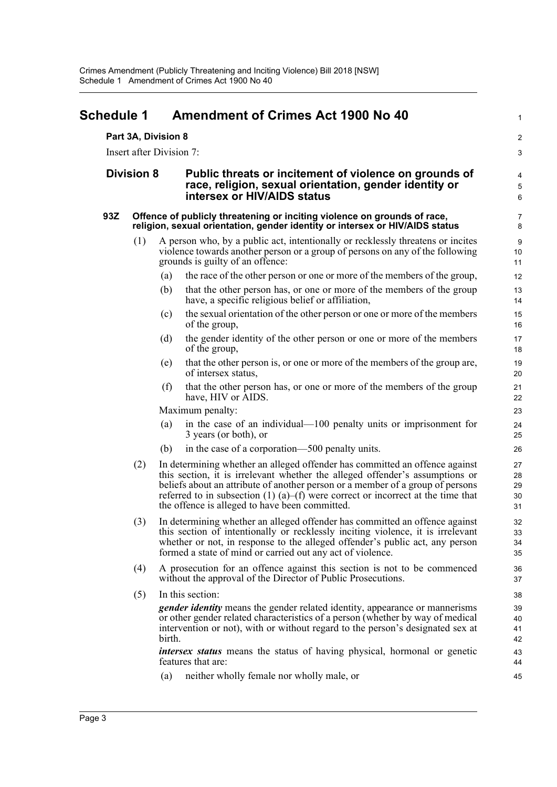<span id="page-5-0"></span>

| Schedule 1        |     | Amendment of Crimes Act 1900 No 40                                                                                                                                                                                                                                                                                                                                                  | 1                          |
|-------------------|-----|-------------------------------------------------------------------------------------------------------------------------------------------------------------------------------------------------------------------------------------------------------------------------------------------------------------------------------------------------------------------------------------|----------------------------|
|                   |     | Part 3A, Division 8                                                                                                                                                                                                                                                                                                                                                                 | $\overline{\mathbf{c}}$    |
|                   |     | Insert after Division 7:                                                                                                                                                                                                                                                                                                                                                            | 3                          |
| <b>Division 8</b> |     | Public threats or incitement of violence on grounds of<br>race, religion, sexual orientation, gender identity or<br>intersex or HIV/AIDS status                                                                                                                                                                                                                                     | 4<br>5<br>6                |
| 93Z               |     | Offence of publicly threatening or inciting violence on grounds of race,<br>religion, sexual orientation, gender identity or intersex or HIV/AIDS status                                                                                                                                                                                                                            | 7<br>8                     |
|                   | (1) | A person who, by a public act, intentionally or recklessly threatens or incites<br>violence towards another person or a group of persons on any of the following<br>grounds is guilty of an offence:                                                                                                                                                                                | 9<br>10<br>11              |
|                   |     | the race of the other person or one or more of the members of the group,<br>(a)                                                                                                                                                                                                                                                                                                     | 12                         |
|                   |     | that the other person has, or one or more of the members of the group<br>(b)<br>have, a specific religious belief or affiliation,                                                                                                                                                                                                                                                   | 13<br>14                   |
|                   |     | the sexual orientation of the other person or one or more of the members<br>(c)<br>of the group,                                                                                                                                                                                                                                                                                    | 15<br>16                   |
|                   |     | the gender identity of the other person or one or more of the members<br>(d)<br>of the group,                                                                                                                                                                                                                                                                                       | 17<br>18                   |
|                   |     | that the other person is, or one or more of the members of the group are,<br>(e)<br>of intersex status,                                                                                                                                                                                                                                                                             | 19<br>20                   |
|                   |     | that the other person has, or one or more of the members of the group<br>(f)<br>have, HIV or AIDS.                                                                                                                                                                                                                                                                                  | 21<br>22                   |
|                   |     | Maximum penalty:                                                                                                                                                                                                                                                                                                                                                                    | 23                         |
|                   |     | in the case of an individual—100 penalty units or imprisonment for<br>(a)<br>3 years (or both), or                                                                                                                                                                                                                                                                                  | 24<br>25                   |
|                   |     | in the case of a corporation—500 penalty units.<br>(b)                                                                                                                                                                                                                                                                                                                              | 26                         |
|                   | (2) | In determining whether an alleged offender has committed an offence against<br>this section, it is irrelevant whether the alleged offender's assumptions or<br>beliefs about an attribute of another person or a member of a group of persons<br>referred to in subsection (1) (a)–(f) were correct or incorrect at the time that<br>the offence is alleged to have been committed. | 27<br>28<br>29<br>30<br>31 |
|                   |     | (3) In determining whether an alleged offender has committed an offence against<br>this section of intentionally or recklessly inciting violence, it is irrelevant<br>whether or not, in response to the alleged offender's public act, any person<br>formed a state of mind or carried out any act of violence.                                                                    | 32<br>33<br>34<br>35       |
|                   | (4) | A prosecution for an offence against this section is not to be commenced<br>without the approval of the Director of Public Prosecutions.                                                                                                                                                                                                                                            | 36<br>37                   |
|                   | (5) | In this section:                                                                                                                                                                                                                                                                                                                                                                    | 38                         |
|                   |     | <i>gender identity</i> means the gender related identity, appearance or mannerisms<br>or other gender related characteristics of a person (whether by way of medical<br>intervention or not), with or without regard to the person's designated sex at<br>birth.                                                                                                                    | 39<br>40<br>41<br>42       |
|                   |     | <i>intersex status</i> means the status of having physical, hormonal or genetic<br>features that are:                                                                                                                                                                                                                                                                               | 43<br>44                   |
|                   |     | neither wholly female nor wholly male, or<br>(a)                                                                                                                                                                                                                                                                                                                                    | 45                         |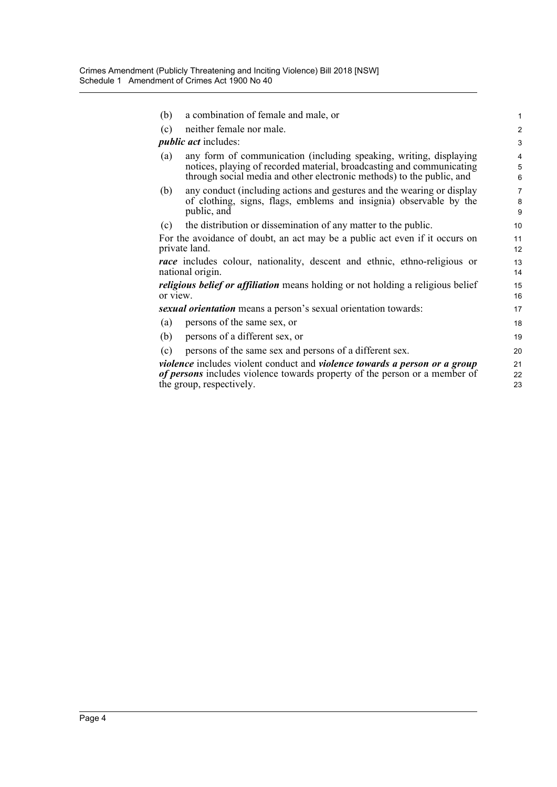| neither female nor male.<br>(c)<br><i>public act</i> includes:<br>any form of communication (including speaking, writing, displaying<br>(a)<br>notices, playing of recorded material, broadcasting and communicating<br>through social media and other electronic methods) to the public, and<br>any conduct (including actions and gestures and the wearing or display<br>(b)<br>of clothing, signs, flags, emblems and insignia) observable by the<br>public, and<br>the distribution or dissemination of any matter to the public.<br>(c)<br>For the avoidance of doubt, an act may be a public act even if it occurs on<br>private land.<br><i>race</i> includes colour, nationality, descent and ethnic, ethno-religious or<br>national origin.<br><i>religious belief or affiliation</i> means holding or not holding a religious belief<br>or view.<br>sexual orientation means a person's sexual orientation towards:<br>persons of the same sex, or<br>(a)<br>persons of a different sex, or<br>(b)<br>persons of the same sex and persons of a different sex.<br>(c)<br><i>violence</i> includes violent conduct and <i>violence towards a person or a group</i><br>of persons includes violence towards property of the person or a member of<br>the group, respectively. | (b) | a combination of female and male, or | 1                        |
|--------------------------------------------------------------------------------------------------------------------------------------------------------------------------------------------------------------------------------------------------------------------------------------------------------------------------------------------------------------------------------------------------------------------------------------------------------------------------------------------------------------------------------------------------------------------------------------------------------------------------------------------------------------------------------------------------------------------------------------------------------------------------------------------------------------------------------------------------------------------------------------------------------------------------------------------------------------------------------------------------------------------------------------------------------------------------------------------------------------------------------------------------------------------------------------------------------------------------------------------------------------------------------------|-----|--------------------------------------|--------------------------|
|                                                                                                                                                                                                                                                                                                                                                                                                                                                                                                                                                                                                                                                                                                                                                                                                                                                                                                                                                                                                                                                                                                                                                                                                                                                                                      |     |                                      | $\overline{2}$           |
|                                                                                                                                                                                                                                                                                                                                                                                                                                                                                                                                                                                                                                                                                                                                                                                                                                                                                                                                                                                                                                                                                                                                                                                                                                                                                      |     |                                      | 3                        |
|                                                                                                                                                                                                                                                                                                                                                                                                                                                                                                                                                                                                                                                                                                                                                                                                                                                                                                                                                                                                                                                                                                                                                                                                                                                                                      |     |                                      | $\overline{4}$<br>5<br>6 |
|                                                                                                                                                                                                                                                                                                                                                                                                                                                                                                                                                                                                                                                                                                                                                                                                                                                                                                                                                                                                                                                                                                                                                                                                                                                                                      |     |                                      | $\overline{7}$<br>8<br>9 |
|                                                                                                                                                                                                                                                                                                                                                                                                                                                                                                                                                                                                                                                                                                                                                                                                                                                                                                                                                                                                                                                                                                                                                                                                                                                                                      |     |                                      | 10                       |
|                                                                                                                                                                                                                                                                                                                                                                                                                                                                                                                                                                                                                                                                                                                                                                                                                                                                                                                                                                                                                                                                                                                                                                                                                                                                                      |     |                                      | 11<br>12                 |
|                                                                                                                                                                                                                                                                                                                                                                                                                                                                                                                                                                                                                                                                                                                                                                                                                                                                                                                                                                                                                                                                                                                                                                                                                                                                                      |     |                                      | 13<br>14                 |
|                                                                                                                                                                                                                                                                                                                                                                                                                                                                                                                                                                                                                                                                                                                                                                                                                                                                                                                                                                                                                                                                                                                                                                                                                                                                                      |     |                                      | 15<br>16                 |
|                                                                                                                                                                                                                                                                                                                                                                                                                                                                                                                                                                                                                                                                                                                                                                                                                                                                                                                                                                                                                                                                                                                                                                                                                                                                                      |     |                                      | 17                       |
|                                                                                                                                                                                                                                                                                                                                                                                                                                                                                                                                                                                                                                                                                                                                                                                                                                                                                                                                                                                                                                                                                                                                                                                                                                                                                      |     |                                      | 18                       |
|                                                                                                                                                                                                                                                                                                                                                                                                                                                                                                                                                                                                                                                                                                                                                                                                                                                                                                                                                                                                                                                                                                                                                                                                                                                                                      |     |                                      | 19                       |
|                                                                                                                                                                                                                                                                                                                                                                                                                                                                                                                                                                                                                                                                                                                                                                                                                                                                                                                                                                                                                                                                                                                                                                                                                                                                                      |     |                                      | 20                       |
|                                                                                                                                                                                                                                                                                                                                                                                                                                                                                                                                                                                                                                                                                                                                                                                                                                                                                                                                                                                                                                                                                                                                                                                                                                                                                      |     |                                      | 21<br>22<br>23           |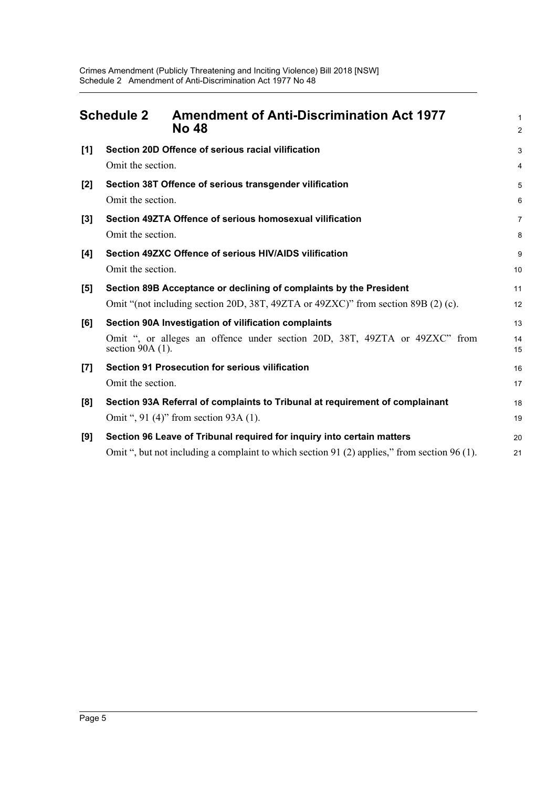<span id="page-7-0"></span>

|       | <b>Schedule 2</b>  | <b>Amendment of Anti-Discrimination Act 1977</b><br><b>No 48</b>                             | 1<br>$\overline{c}$ |
|-------|--------------------|----------------------------------------------------------------------------------------------|---------------------|
| [1]   |                    | Section 20D Offence of serious racial vilification                                           | 3                   |
|       | Omit the section.  |                                                                                              | 4                   |
| $[2]$ |                    | Section 38T Offence of serious transgender vilification                                      | 5                   |
|       | Omit the section.  |                                                                                              | 6                   |
| $[3]$ |                    | Section 49ZTA Offence of serious homosexual vilification                                     | 7                   |
|       | Omit the section.  |                                                                                              | 8                   |
| [4]   |                    | Section 49ZXC Offence of serious HIV/AIDS vilification                                       | 9                   |
|       | Omit the section.  |                                                                                              | 10                  |
| [5]   |                    | Section 89B Acceptance or declining of complaints by the President                           | 11                  |
|       |                    | Omit "(not including section 20D, 38T, 49ZTA or 49ZXC)" from section 89B (2) (c).            | 12                  |
| [6]   |                    | Section 90A Investigation of vilification complaints                                         | 13                  |
|       | section $90A(1)$ . | Omit ", or alleges an offence under section 20D, 38T, 49ZTA or 49ZXC" from                   | 14<br>15            |
| $[7]$ |                    | <b>Section 91 Prosecution for serious vilification</b>                                       | 16                  |
|       | Omit the section.  |                                                                                              | 17                  |
| [8]   |                    | Section 93A Referral of complaints to Tribunal at requirement of complainant                 | 18                  |
|       |                    | Omit ", 91 (4)" from section 93A (1).                                                        | 19                  |
| [9]   |                    | Section 96 Leave of Tribunal required for inquiry into certain matters                       | 20                  |
|       |                    | Omit ", but not including a complaint to which section 91 (2) applies," from section 96 (1). | 21                  |